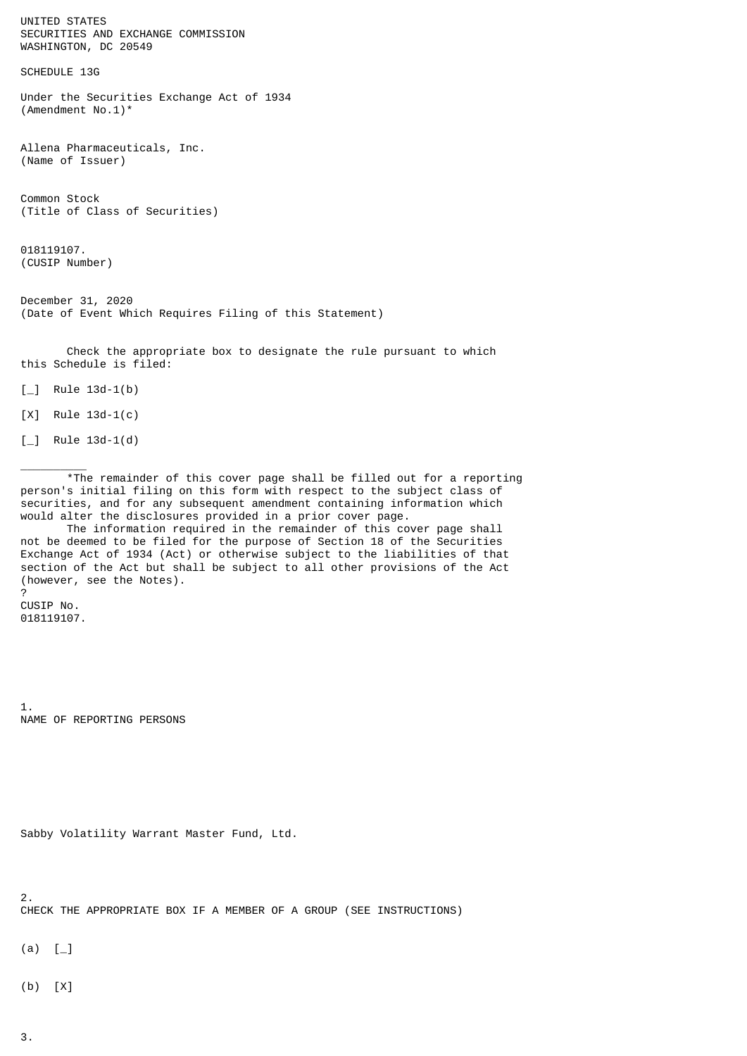UNITED STATES SECURITIES AND EXCHANGE COMMISSION WASHINGTON, DC 20549

SCHEDULE 13G

Under the Securities Exchange Act of 1934 (Amendment No.1)\*

Allena Pharmaceuticals, Inc. (Name of Issuer)

Common Stock (Title of Class of Securities)

018119107. (CUSIP Number)

December 31, 2020 (Date of Event Which Requires Filing of this Statement)

 Check the appropriate box to designate the rule pursuant to which this Schedule is filed:

 $\lceil \_$  Rule 13d-1(b)

[X] Rule 13d-1(c)

 $\lceil \_$  Rule 13d-1(d)

 $\frac{1}{2}$ 

 \*The remainder of this cover page shall be filled out for a reporting person's initial filing on this form with respect to the subject class of securities, and for any subsequent amendment containing information which would alter the disclosures provided in a prior cover page.

 The information required in the remainder of this cover page shall not be deemed to be filed for the purpose of Section 18 of the Securities Exchange Act of 1934 (Act) or otherwise subject to the liabilities of that section of the Act but shall be subject to all other provisions of the Act (however, see the Notes).

? CUSIP No. 018119107.

1. NAME OF REPORTING PERSONS

```
Sabby Volatility Warrant Master Fund, Ltd.
```
2.

CHECK THE APPROPRIATE BOX IF A MEMBER OF A GROUP (SEE INSTRUCTIONS)

 $(a)$  [

(b) [X]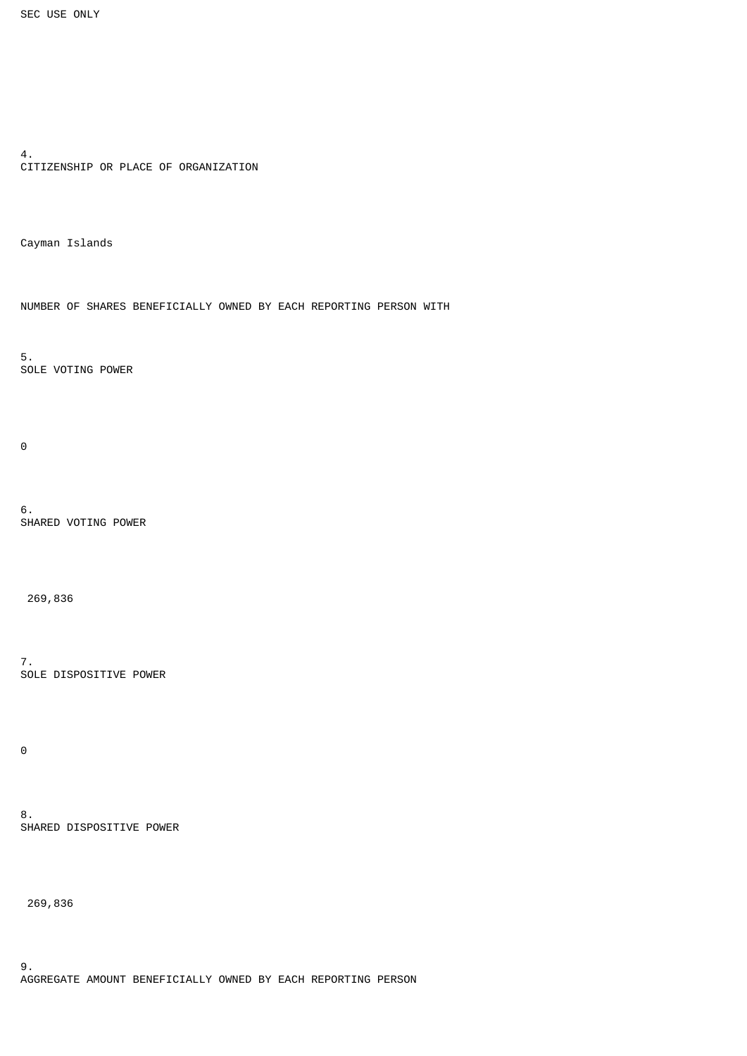```
4.
CITIZENSHIP OR PLACE OF ORGANIZATION
```
Cayman Islands

NUMBER OF SHARES BENEFICIALLY OWNED BY EACH REPORTING PERSON WITH

5. SOLE VOTING POWER

 $\Theta$ 

6. SHARED VOTING POWER

269,836

7. SOLE DISPOSITIVE POWER

0

8. SHARED DISPOSITIVE POWER

269,836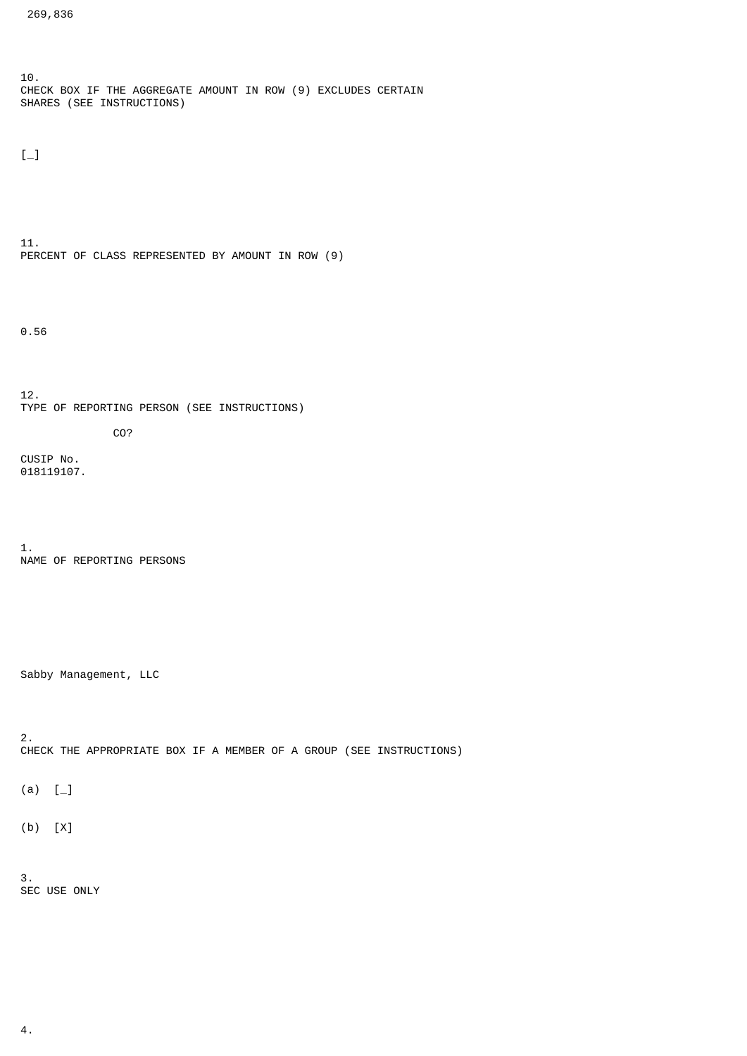10. CHECK BOX IF THE AGGREGATE AMOUNT IN ROW (9) EXCLUDES CERTAIN SHARES (SEE INSTRUCTIONS)

 $[-]$ 

11. PERCENT OF CLASS REPRESENTED BY AMOUNT IN ROW (9)

0.56

12. TYPE OF REPORTING PERSON (SEE INSTRUCTIONS) CO?

CUSIP No. 018119107.

1. NAME OF REPORTING PERSONS

Sabby Management, LLC

2. CHECK THE APPROPRIATE BOX IF A MEMBER OF A GROUP (SEE INSTRUCTIONS)

 $(a) [$ 

(b) [X]

3. SEC USE ONLY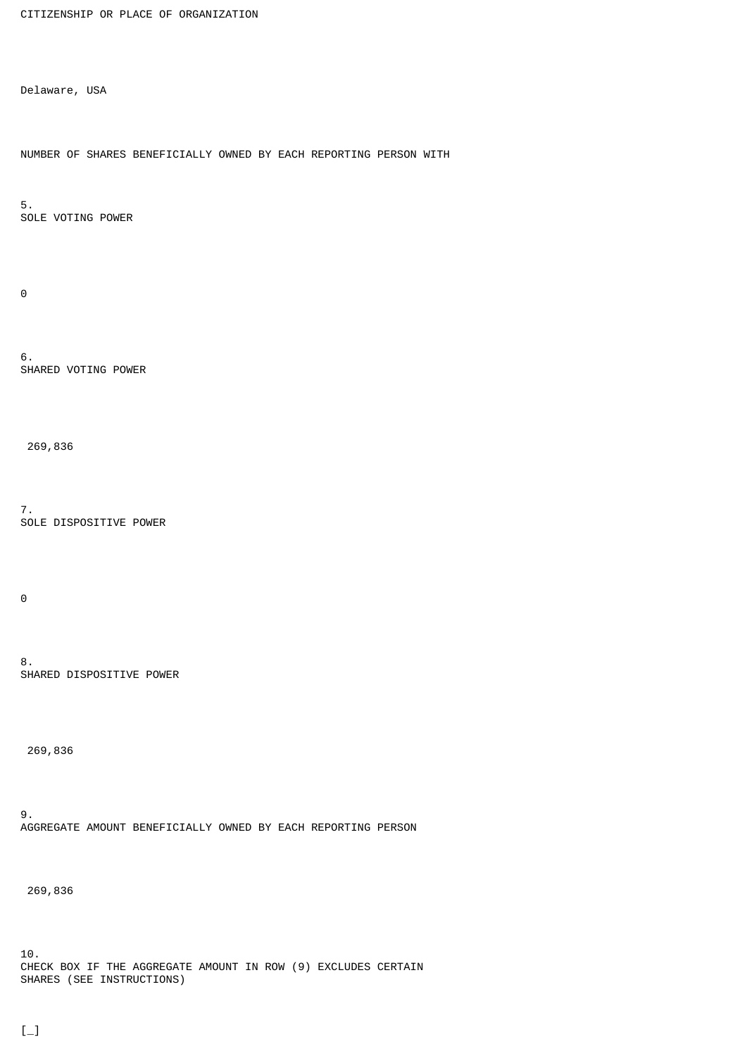```
CITIZENSHIP OR PLACE OF ORGANIZATION
```
Delaware, USA

NUMBER OF SHARES BENEFICIALLY OWNED BY EACH REPORTING PERSON WITH

5. SOLE VOTING POWER

 $\Theta$ 

6. SHARED VOTING POWER

269,836

7. SOLE DISPOSITIVE POWER

 $\Theta$ 

8. SHARED DISPOSITIVE POWER

269,836

9. AGGREGATE AMOUNT BENEFICIALLY OWNED BY EACH REPORTING PERSON

269,836

10. CHECK BOX IF THE AGGREGATE AMOUNT IN ROW (9) EXCLUDES CERTAIN SHARES (SEE INSTRUCTIONS)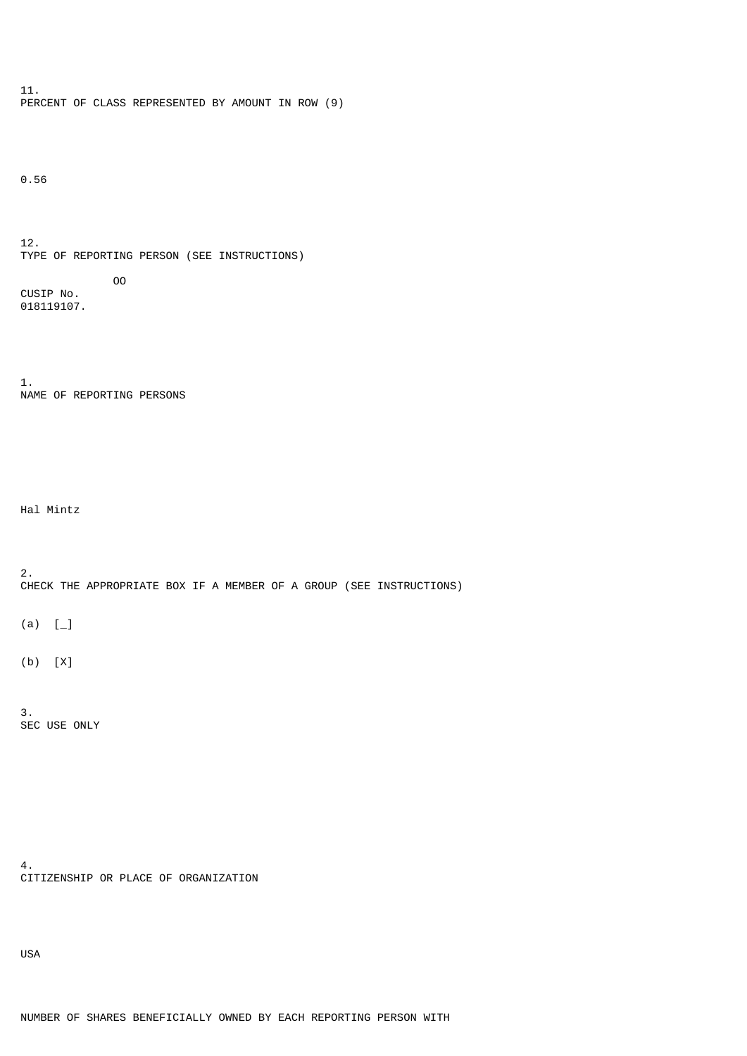11. PERCENT OF CLASS REPRESENTED BY AMOUNT IN ROW (9)

0.56

12. TYPE OF REPORTING PERSON (SEE INSTRUCTIONS) OO CUSIP No. 018119107.

1. NAME OF REPORTING PERSONS

Hal Mintz

2. CHECK THE APPROPRIATE BOX IF A MEMBER OF A GROUP (SEE INSTRUCTIONS)

 $(a) [$ 

(b) [X]

3. SEC USE ONLY

4. CITIZENSHIP OR PLACE OF ORGANIZATION

USA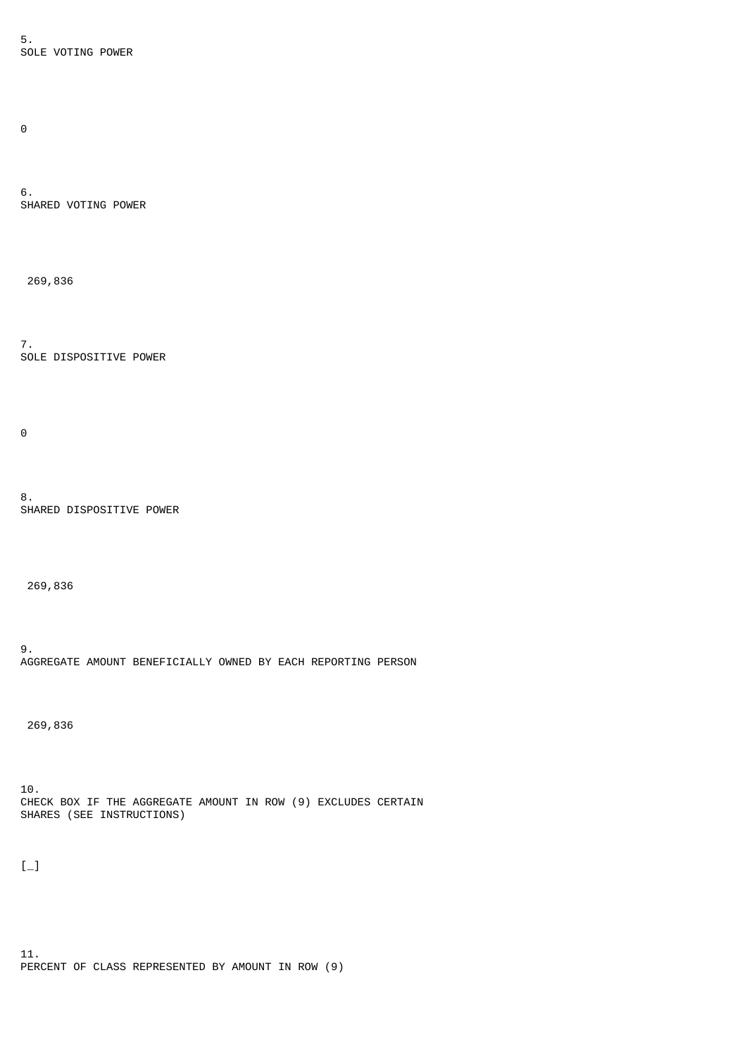5. SOLE VOTING POWER

 $\Theta$ 

6. SHARED VOTING POWER

269,836

7. SOLE DISPOSITIVE POWER

 $\Theta$ 

8. SHARED DISPOSITIVE POWER

269,836

9. AGGREGATE AMOUNT BENEFICIALLY OWNED BY EACH REPORTING PERSON

269,836

10. CHECK BOX IF THE AGGREGATE AMOUNT IN ROW (9) EXCLUDES CERTAIN SHARES (SEE INSTRUCTIONS)

 $[-]$ 

11. PERCENT OF CLASS REPRESENTED BY AMOUNT IN ROW (9)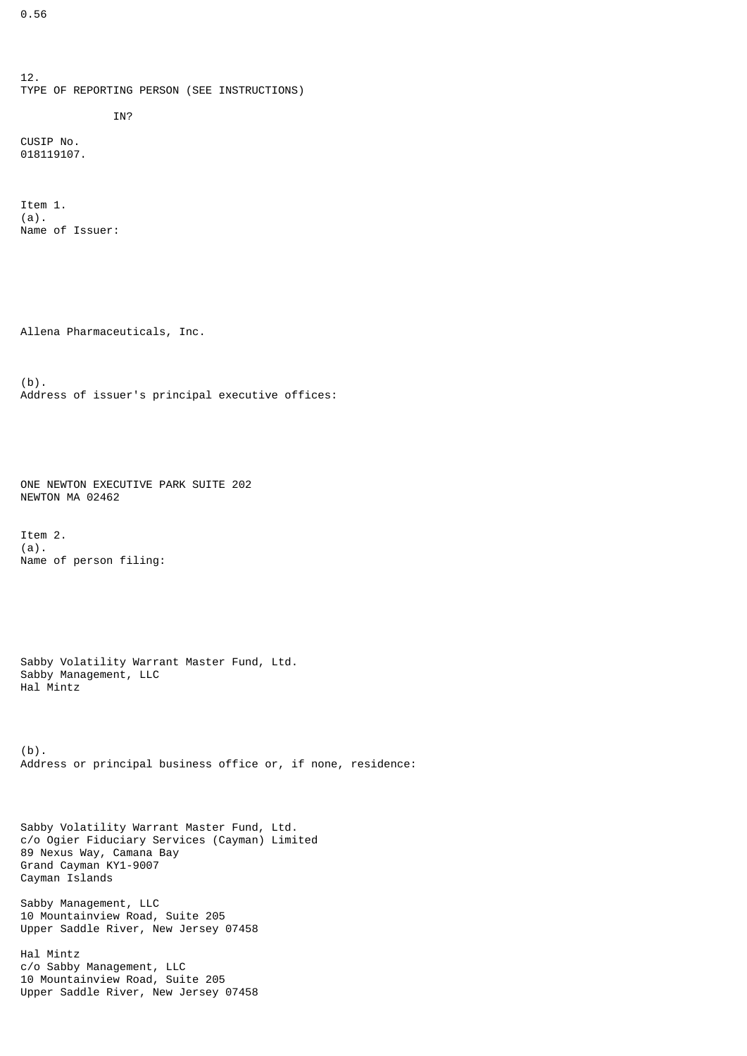12. TYPE OF REPORTING PERSON (SEE INSTRUCTIONS) IN? CUSIP No. 018119107.

Item 1. (a). Name of Issuer:

Allena Pharmaceuticals, Inc.

(b). Address of issuer's principal executive offices:

ONE NEWTON EXECUTIVE PARK SUITE 202 NEWTON MA 02462

Item 2. (a). Name of person filing:

Sabby Volatility Warrant Master Fund, Ltd. Sabby Management, LLC Hal Mintz

(b). Address or principal business office or, if none, residence:

Sabby Volatility Warrant Master Fund, Ltd. c/o Ogier Fiduciary Services (Cayman) Limited 89 Nexus Way, Camana Bay Grand Cayman KY1-9007 Cayman Islands

Sabby Management, LLC 10 Mountainview Road, Suite 205 Upper Saddle River, New Jersey 07458

Hal Mintz c/o Sabby Management, LLC 10 Mountainview Road, Suite 205 Upper Saddle River, New Jersey 07458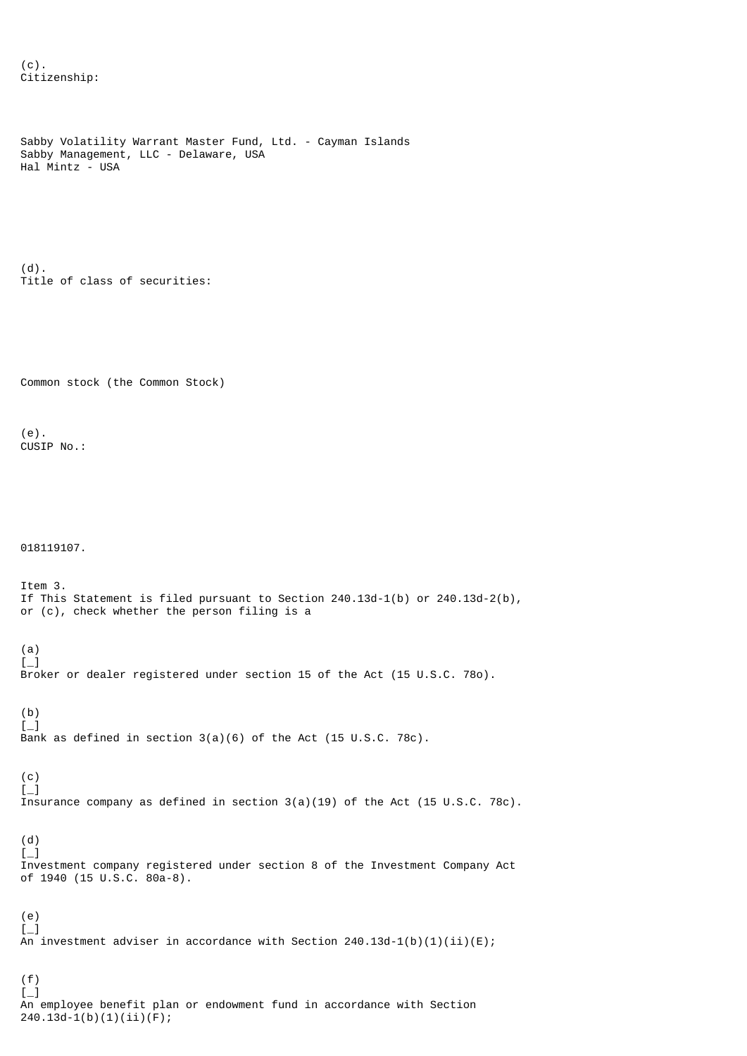```
(c).
Citizenship:
```

```
Sabby Volatility Warrant Master Fund, Ltd. - Cayman Islands
Sabby Management, LLC - Delaware, USA
Hal Mintz - USA
(d).
Title of class of securities:
Common stock (the Common Stock)
(e).
CUSIP No.:
018119107.
Item 3.
If This Statement is filed pursuant to Section 240.13d-1(b) or 240.13d-2(b),
or (c), check whether the person filing is a
(a)
[-]Broker or dealer registered under section 15 of the Act (15 U.S.C. 78o).
(b)
\left[\begin{smallmatrix}1\\1\end{smallmatrix}\right]Bank as defined in section 3(a)(6) of the Act (15 U.S.C. 78c).
(c)
\left[\begin{smallmatrix}1\\1\end{smallmatrix}\right]Insurance company as defined in section 3(a)(19) of the Act (15 U.S.C. 78c).
(d)
[-]Investment company registered under section 8 of the Investment Company Act
of 1940 (15 U.S.C. 80a-8).
(e)
\left[\begin{smallmatrix}1\\1\end{smallmatrix}\right]\frac{1}{2} investment adviser in accordance with Section 240.13d-1(b)(1)(ii)(E);
(f)
[-]
```
An employee benefit plan or endowment fund in accordance with Section 240.13d-1(b)(1)(ii)(F);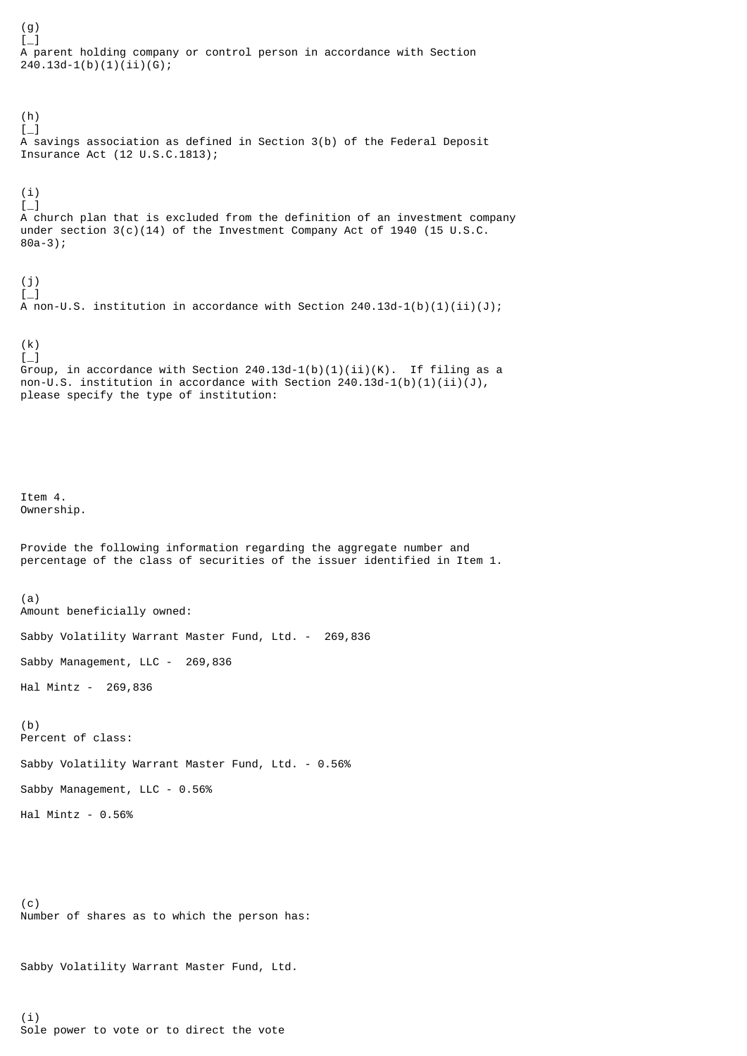[\_] A parent holding company or control person in accordance with Section  $240.13d-1(b)(1)(ii)(G);$ 

 $[-]$ A savings association as defined in Section 3(b) of the Federal Deposit Insurance Act (12 U.S.C.1813);

 $[-]$ A church plan that is excluded from the definition of an investment company under section  $3(c)(14)$  of the Investment Company Act of 1940 (15 U.S.C. 80a-3);

(j)  $\mathfrak{l}$ A non-U.S. institution in accordance with Section  $240.13d-1(b)(1)(ii)(J);$ 

(k) [\_] Group, in accordance with Section 240.13d-1(b)(1)(ii)(K). If filing as a non-U.S. institution in accordance with Section  $240.13d-1(b)(1)(ii)(J)$ , please specify the type of institution:

Item 4. Ownership.

(g)

(h)

(i)

Provide the following information regarding the aggregate number and percentage of the class of securities of the issuer identified in Item 1.

(a) Amount beneficially owned:

Sabby Volatility Warrant Master Fund, Ltd. - 269,836

Sabby Management, LLC - 269,836

Hal Mintz - 269,836

(b) Percent of class:

Sabby Volatility Warrant Master Fund, Ltd. - 0.56%

Sabby Management, LLC - 0.56%

Hal Mintz - 0.56%

(c) Number of shares as to which the person has:

Sabby Volatility Warrant Master Fund, Ltd.

(i) Sole power to vote or to direct the vote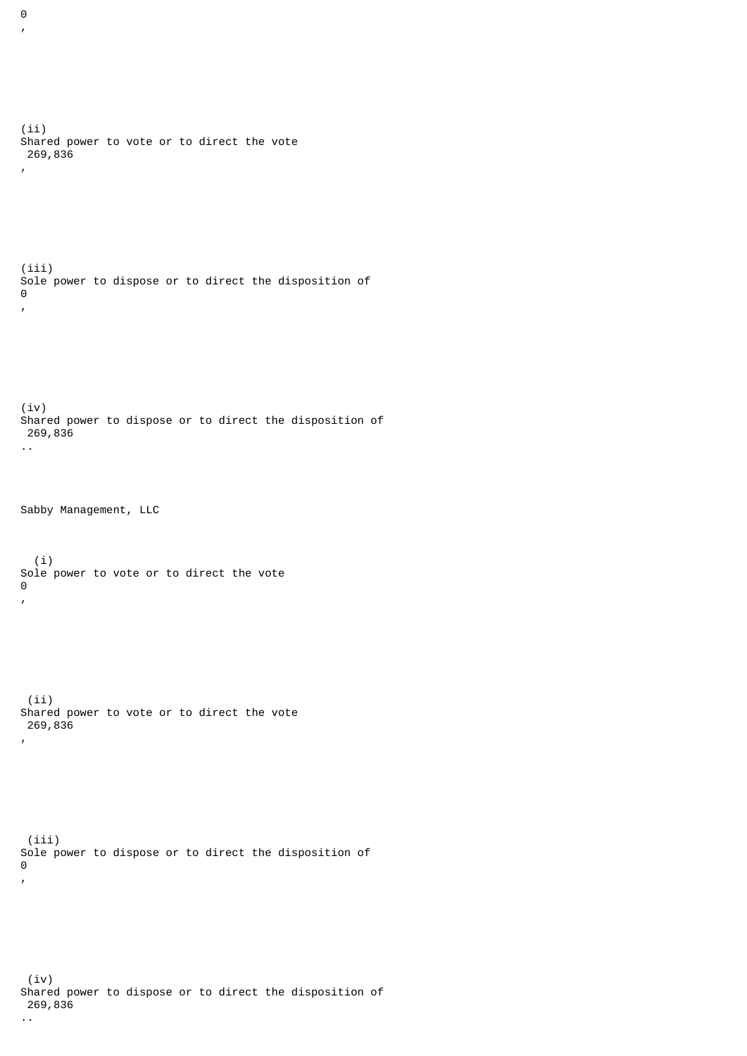(ii) Shared power to vote or to direct the vote 269,836 , (iii) Sole power to dispose or to direct the disposition of  $\Theta$ , (iv) Shared power to dispose or to direct the disposition of 269,836 .. Sabby Management, LLC (i) Sole power to vote or to direct the vote  $\Theta$ , (ii) Shared power to vote or to direct the vote 269,836 , (iii) Sole power to dispose or to direct the disposition of  $\Theta$ , (iv) Shared power to dispose or to direct the disposition of

 $\Theta$ ,

269,836

..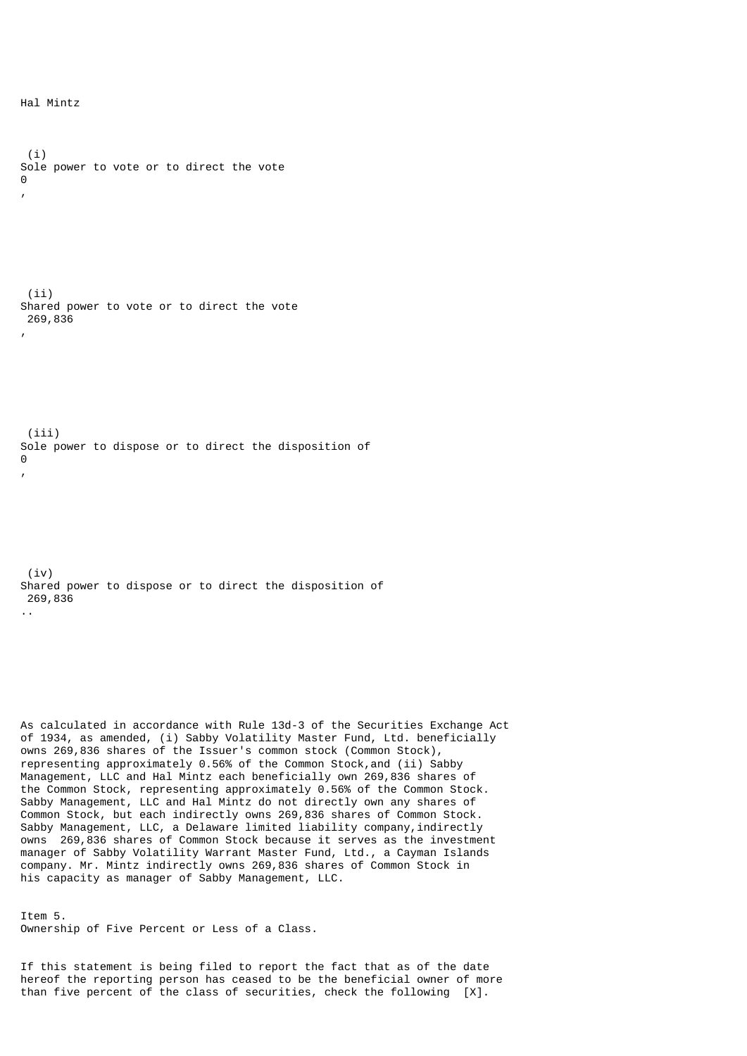Hal Mintz

 (i) Sole power to vote or to direct the vote  $\Theta$ , (ii) Shared power to vote or to direct the vote 269,836 , (iii) Sole power to dispose or to direct the disposition of  $\Omega$ , (iv) Shared power to dispose or to direct the disposition of 269,836 ..

As calculated in accordance with Rule 13d-3 of the Securities Exchange Act of 1934, as amended, (i) Sabby Volatility Master Fund, Ltd. beneficially owns 269,836 shares of the Issuer's common stock (Common Stock), representing approximately 0.56% of the Common Stock,and (ii) Sabby Management, LLC and Hal Mintz each beneficially own 269,836 shares of the Common Stock, representing approximately 0.56% of the Common Stock. Sabby Management, LLC and Hal Mintz do not directly own any shares of Common Stock, but each indirectly owns 269,836 shares of Common Stock. Sabby Management, LLC, a Delaware limited liability company, indirectly owns 269,836 shares of Common Stock because it serves as the investment manager of Sabby Volatility Warrant Master Fund, Ltd., a Cayman Islands company. Mr. Mintz indirectly owns 269,836 shares of Common Stock in his capacity as manager of Sabby Management, LLC.

Item 5. Ownership of Five Percent or Less of a Class.

If this statement is being filed to report the fact that as of the date hereof the reporting person has ceased to be the beneficial owner of more than five percent of the class of securities, check the following [X].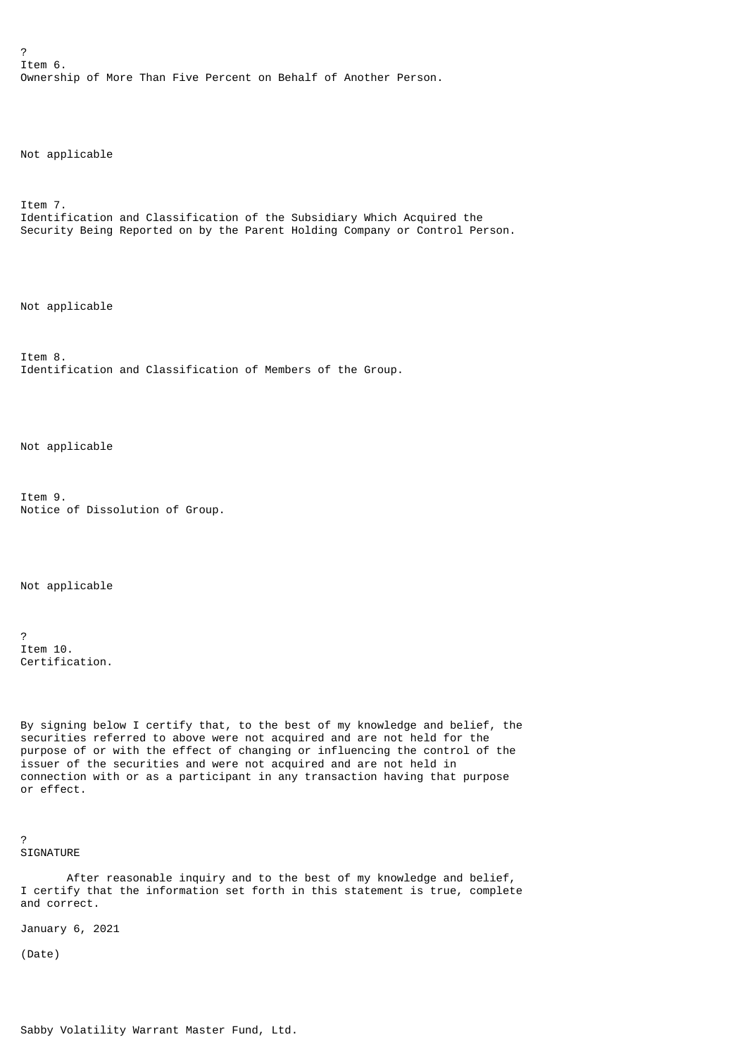? Item 6. Ownership of More Than Five Percent on Behalf of Another Person.

Not applicable

Item 7. Identification and Classification of the Subsidiary Which Acquired the Security Being Reported on by the Parent Holding Company or Control Person.

Not applicable

Item 8. Identification and Classification of Members of the Group.

Not applicable

Item 9. Notice of Dissolution of Group.

Not applicable

? Item 10. Certification.

By signing below I certify that, to the best of my knowledge and belief, the securities referred to above were not acquired and are not held for the purpose of or with the effect of changing or influencing the control of the issuer of the securities and were not acquired and are not held in connection with or as a participant in any transaction having that purpose or effect.

? SIGNATURE

 After reasonable inquiry and to the best of my knowledge and belief, I certify that the information set forth in this statement is true, complete and correct.

January 6, 2021

(Date)